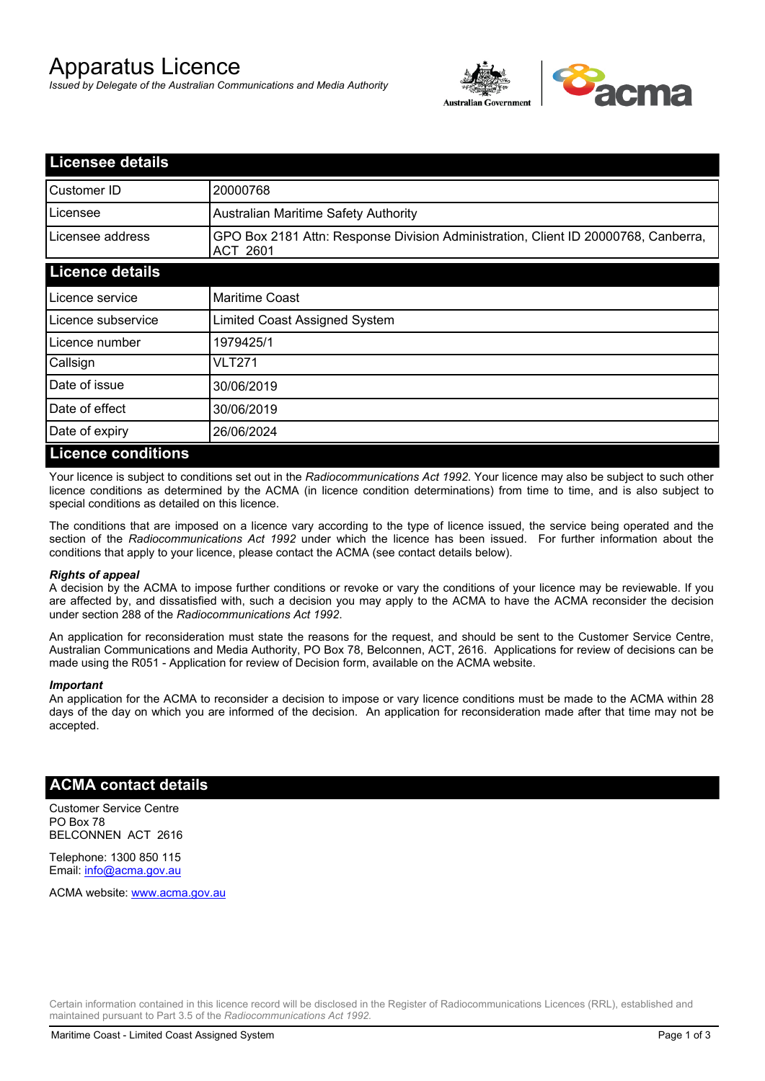# Apparatus Licence

*Issued by Delegate of the Australian Communications and Media Authority*



| <b>Licensee details</b>   |                                                                                                       |
|---------------------------|-------------------------------------------------------------------------------------------------------|
| Customer ID               | 20000768                                                                                              |
| Licensee                  | Australian Maritime Safety Authority                                                                  |
| Licensee address          | GPO Box 2181 Attn: Response Division Administration, Client ID 20000768, Canberra,<br><b>ACT 2601</b> |
| <b>Licence details</b>    |                                                                                                       |
| Licence service           | <b>Maritime Coast</b>                                                                                 |
| Licence subservice        | Limited Coast Assigned System                                                                         |
| Licence number            | 1979425/1                                                                                             |
| Callsign                  | VLT271                                                                                                |
| Date of issue             | 30/06/2019                                                                                            |
| Date of effect            | 30/06/2019                                                                                            |
| Date of expiry            | 26/06/2024                                                                                            |
| <b>Licence conditions</b> |                                                                                                       |

Your licence is subject to conditions set out in the *Radiocommunications Act 1992*. Your licence may also be subject to such other licence conditions as determined by the ACMA (in licence condition determinations) from time to time, and is also subject to special conditions as detailed on this licence.

The conditions that are imposed on a licence vary according to the type of licence issued, the service being operated and the section of the *Radiocommunications Act 1992* under which the licence has been issued. For further information about the conditions that apply to your licence, please contact the ACMA (see contact details below).

### *Rights of appeal*

A decision by the ACMA to impose further conditions or revoke or vary the conditions of your licence may be reviewable. If you are affected by, and dissatisfied with, such a decision you may apply to the ACMA to have the ACMA reconsider the decision under section 288 of the *Radiocommunications Act 1992*.

An application for reconsideration must state the reasons for the request, and should be sent to the Customer Service Centre, Australian Communications and Media Authority, PO Box 78, Belconnen, ACT, 2616. Applications for review of decisions can be made using the R051 - Application for review of Decision form, available on the ACMA website.

#### *Important*

An application for the ACMA to reconsider a decision to impose or vary licence conditions must be made to the ACMA within 28 days of the day on which you are informed of the decision. An application for reconsideration made after that time may not be accepted.

### **ACMA contact details**

Customer Service Centre PO Box 78 BELCONNEN ACT 2616

Telephone: 1300 850 115 Email: info@acma.gov.au

ACMA website: www.acma.gov.au

Certain information contained in this licence record will be disclosed in the Register of Radiocommunications Licences (RRL), established and maintained pursuant to Part 3.5 of the *Radiocommunications Act 1992.*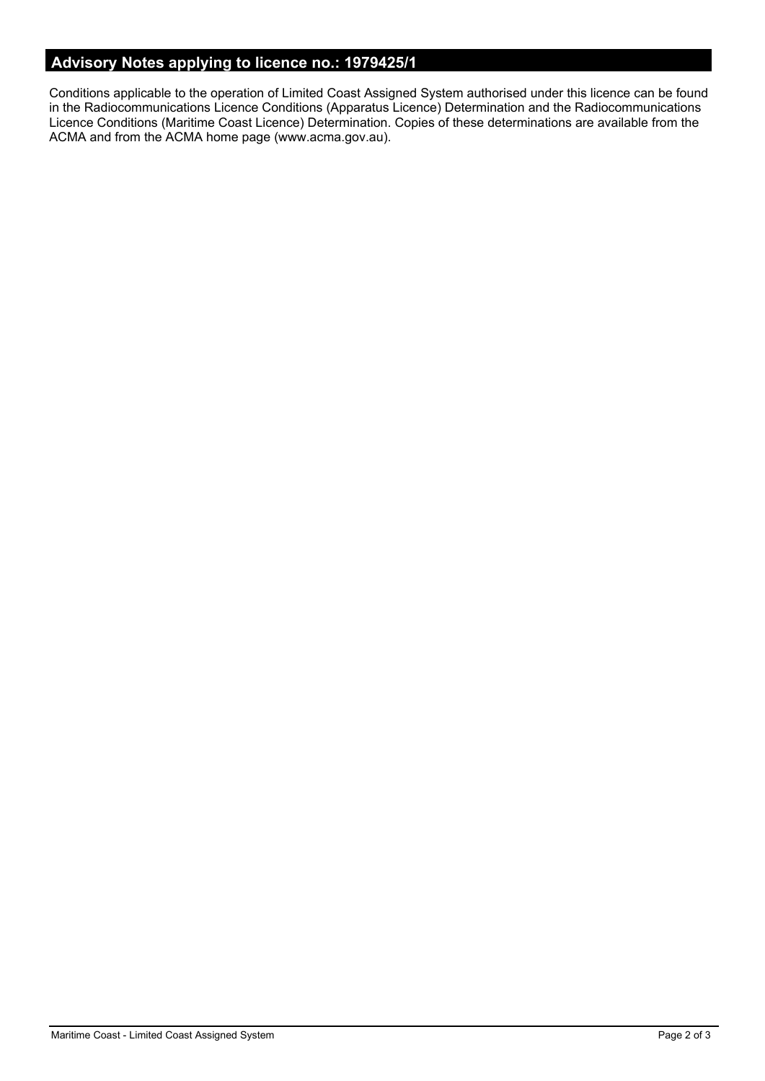# **Advisory Notes applying to licence no.: 1979425/1**

Conditions applicable to the operation of Limited Coast Assigned System authorised under this licence can be found in the Radiocommunications Licence Conditions (Apparatus Licence) Determination and the Radiocommunications Licence Conditions (Maritime Coast Licence) Determination. Copies of these determinations are available from the ACMA and from the ACMA home page (www.acma.gov.au).